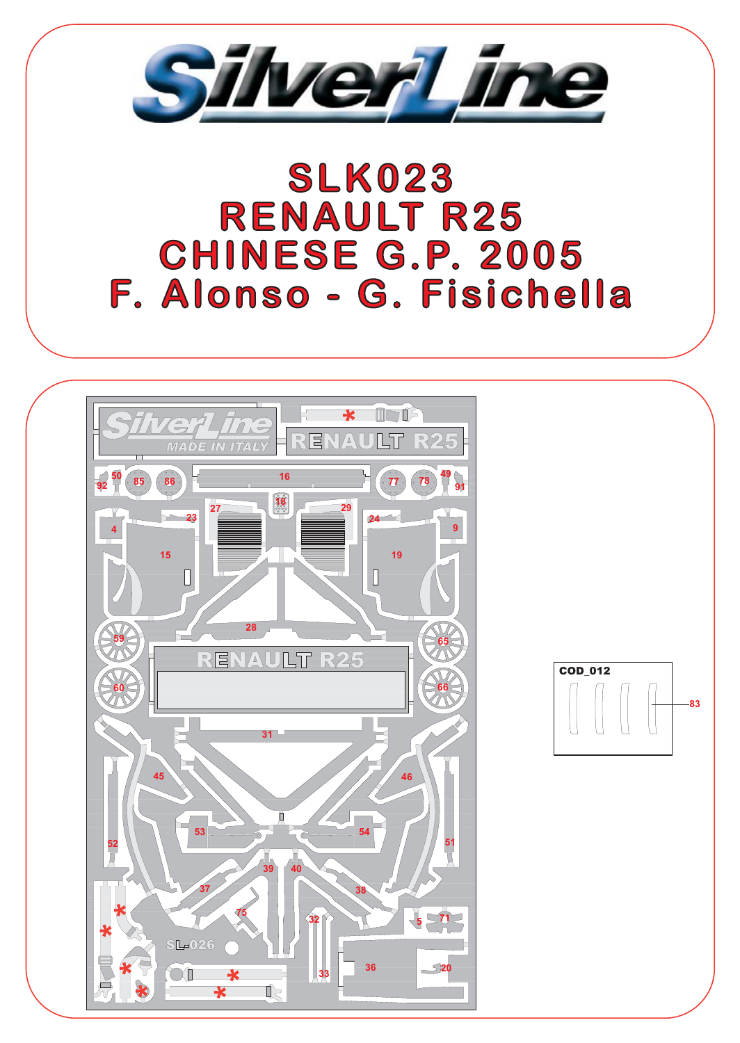

## **SLK023 RENAULT R25 CHINESE G.P. 2005** F. Alonso - G. Fisichella



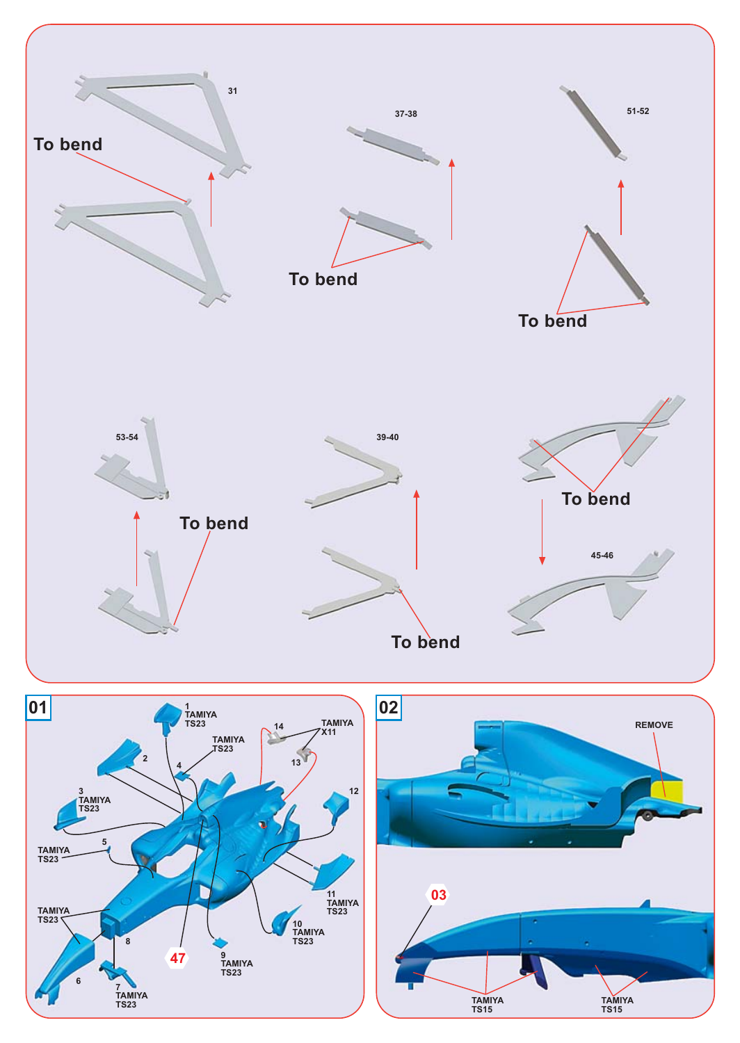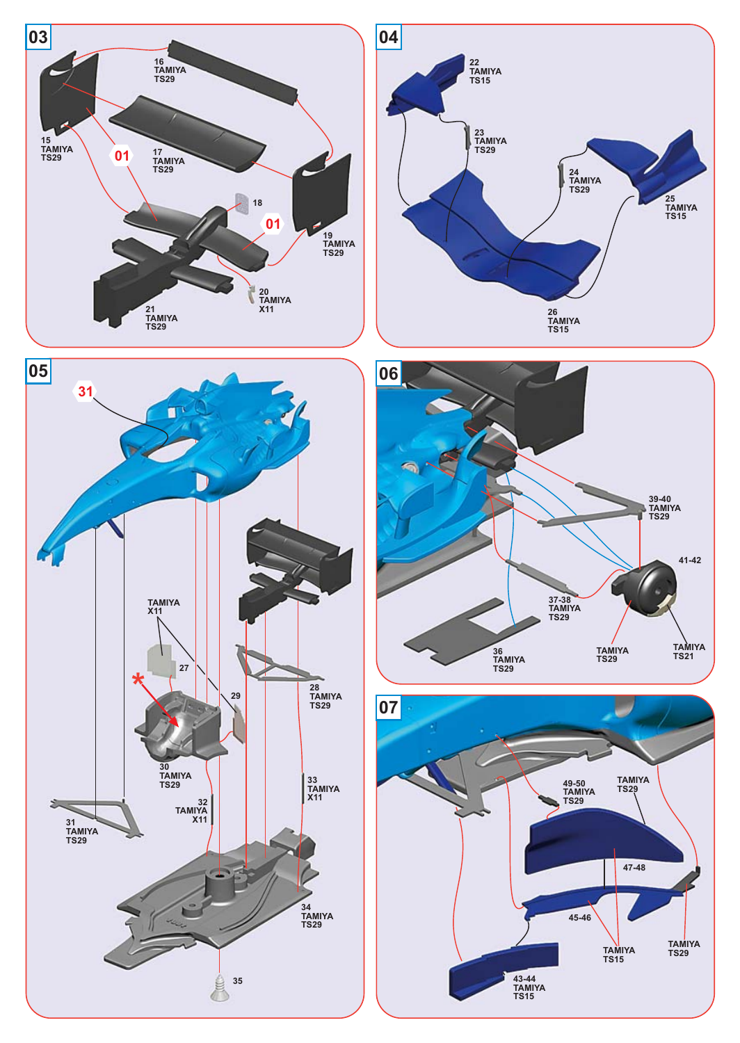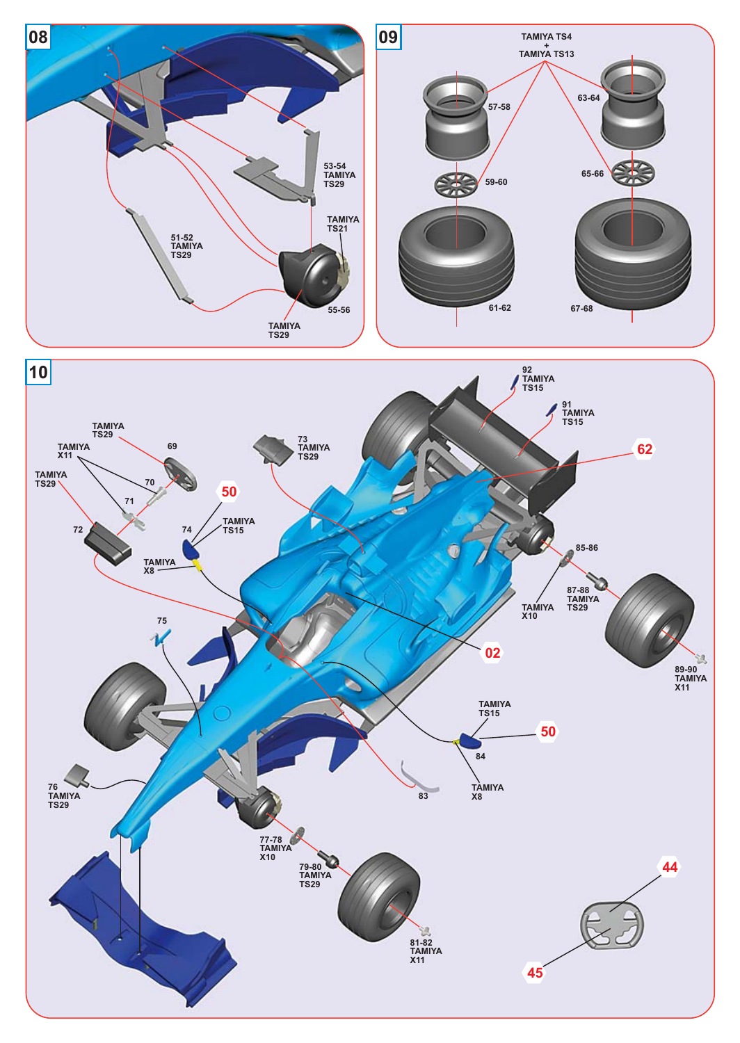

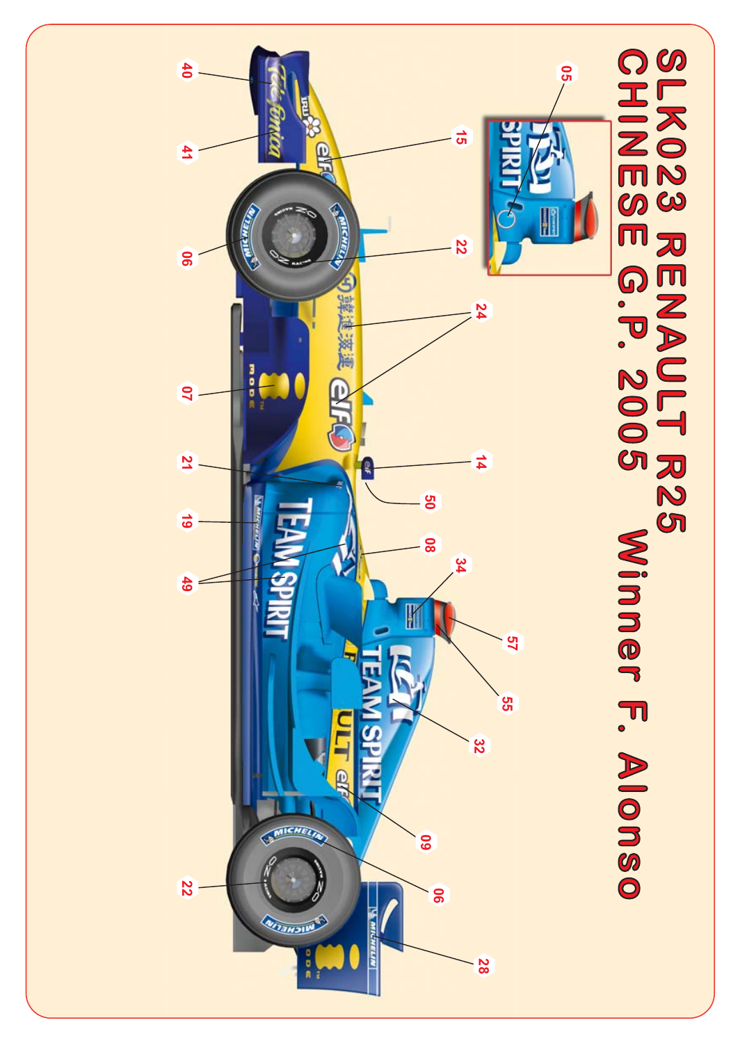